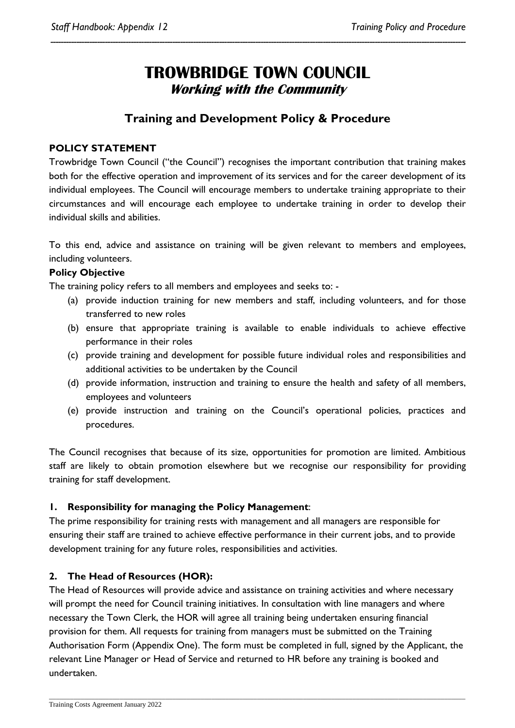## **TROWBRIDGE TOWN COUNCIL Working with the Community**

*----------------------------------------------------------------------------------------------------------------------------------------------------------------*

### **Training and Development Policy & Procedure**

#### **POLICY STATEMENT**

Trowbridge Town Council ("the Council") recognises the important contribution that training makes both for the effective operation and improvement of its services and for the career development of its individual employees. The Council will encourage members to undertake training appropriate to their circumstances and will encourage each employee to undertake training in order to develop their individual skills and abilities.

To this end, advice and assistance on training will be given relevant to members and employees, including volunteers.

#### **Policy Objective**

The training policy refers to all members and employees and seeks to: -

- (a) provide induction training for new members and staff, including volunteers, and for those transferred to new roles
- (b) ensure that appropriate training is available to enable individuals to achieve effective performance in their roles
- (c) provide training and development for possible future individual roles and responsibilities and additional activities to be undertaken by the Council
- (d) provide information, instruction and training to ensure the health and safety of all members, employees and volunteers
- (e) provide instruction and training on the Council's operational policies, practices and procedures.

The Council recognises that because of its size, opportunities for promotion are limited. Ambitious staff are likely to obtain promotion elsewhere but we recognise our responsibility for providing training for staff development.

#### **1. Responsibility for managing the Policy Management**:

The prime responsibility for training rests with management and all managers are responsible for ensuring their staff are trained to achieve effective performance in their current jobs, and to provide development training for any future roles, responsibilities and activities.

#### **2. The Head of Resources (HOR):**

The Head of Resources will provide advice and assistance on training activities and where necessary will prompt the need for Council training initiatives. In consultation with line managers and where necessary the Town Clerk, the HOR will agree all training being undertaken ensuring financial provision for them. All requests for training from managers must be submitted on the Training Authorisation Form (Appendix One). The form must be completed in full, signed by the Applicant, the relevant Line Manager or Head of Service and returned to HR before any training is booked and undertaken.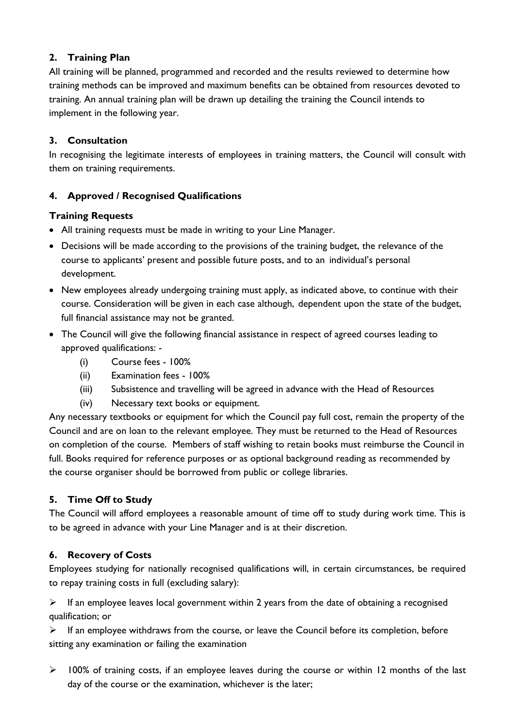#### **2. Training Plan**

All training will be planned, programmed and recorded and the results reviewed to determine how training methods can be improved and maximum benefits can be obtained from resources devoted to training. An annual training plan will be drawn up detailing the training the Council intends to implement in the following year.

#### **3. Consultation**

In recognising the legitimate interests of employees in training matters, the Council will consult with them on training requirements.

#### **4. Approved / Recognised Qualifications**

#### **Training Requests**

- All training requests must be made in writing to your Line Manager.
- Decisions will be made according to the provisions of the training budget, the relevance of the course to applicants' present and possible future posts, and to an individual's personal development.
- New employees already undergoing training must apply, as indicated above, to continue with their course. Consideration will be given in each case although, dependent upon the state of the budget, full financial assistance may not be granted.
- The Council will give the following financial assistance in respect of agreed courses leading to approved qualifications: -
	- (i) Course fees 100%
	- (ii) Examination fees 100%
	- (iii) Subsistence and travelling will be agreed in advance with the Head of Resources
	- (iv) Necessary text books or equipment.

Any necessary textbooks or equipment for which the Council pay full cost, remain the property of the Council and are on loan to the relevant employee. They must be returned to the Head of Resources on completion of the course. Members of staff wishing to retain books must reimburse the Council in full. Books required for reference purposes or as optional background reading as recommended by the course organiser should be borrowed from public or college libraries.

#### **5. Time Off to Study**

The Council will afford employees a reasonable amount of time off to study during work time. This is to be agreed in advance with your Line Manager and is at their discretion.

#### **6. Recovery of Costs**

Employees studying for nationally recognised qualifications will, in certain circumstances, be required to repay training costs in full (excluding salary):

 $\triangleright$  If an employee leaves local government within 2 years from the date of obtaining a recognised qualification; or

 $\triangleright$  If an employee withdraws from the course, or leave the Council before its completion, before sitting any examination or failing the examination

 $\triangleright$  100% of training costs, if an employee leaves during the course or within 12 months of the last day of the course or the examination, whichever is the later;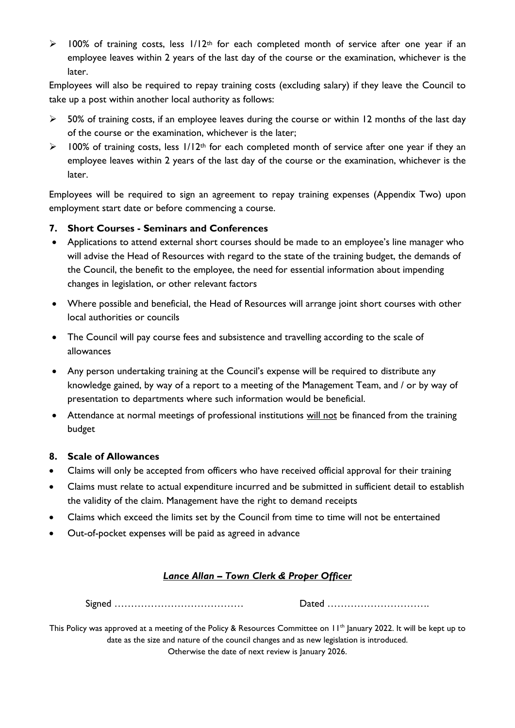$\triangleright$  100% of training costs, less  $1/12$ <sup>th</sup> for each completed month of service after one year if an employee leaves within 2 years of the last day of the course or the examination, whichever is the later.

Employees will also be required to repay training costs (excluding salary) if they leave the Council to take up a post within another local authority as follows:

- $>$  50% of training costs, if an employee leaves during the course or within 12 months of the last day of the course or the examination, whichever is the later;
- $\triangleright$  100% of training costs, less  $1/12$ <sup>th</sup> for each completed month of service after one year if they an employee leaves within 2 years of the last day of the course or the examination, whichever is the later.

Employees will be required to sign an agreement to repay training expenses (Appendix Two) upon employment start date or before commencing a course.

#### **7. Short Courses - Seminars and Conferences**

- Applications to attend external short courses should be made to an employee's line manager who will advise the Head of Resources with regard to the state of the training budget, the demands of the Council, the benefit to the employee, the need for essential information about impending changes in legislation, or other relevant factors
- Where possible and beneficial, the Head of Resources will arrange joint short courses with other local authorities or councils
- The Council will pay course fees and subsistence and travelling according to the scale of allowances
- Any person undertaking training at the Council's expense will be required to distribute any knowledge gained, by way of a report to a meeting of the Management Team, and / or by way of presentation to departments where such information would be beneficial.
- Attendance at normal meetings of professional institutions will not be financed from the training budget

#### **8. Scale of Allowances**

- Claims will only be accepted from officers who have received official approval for their training
- Claims must relate to actual expenditure incurred and be submitted in sufficient detail to establish the validity of the claim. Management have the right to demand receipts
- Claims which exceed the limits set by the Council from time to time will not be entertained
- Out-of-pocket expenses will be paid as agreed in advance

#### *Lance Allan – Town Clerk & Proper Officer*

Signed ………………………………… Dated ………………………….

This Policy was approved at a meeting of the Policy & Resources Committee on 11<sup>th</sup> January 2022. It will be kept up to date as the size and nature of the council changes and as new legislation is introduced. Otherwise the date of next review is January 2026.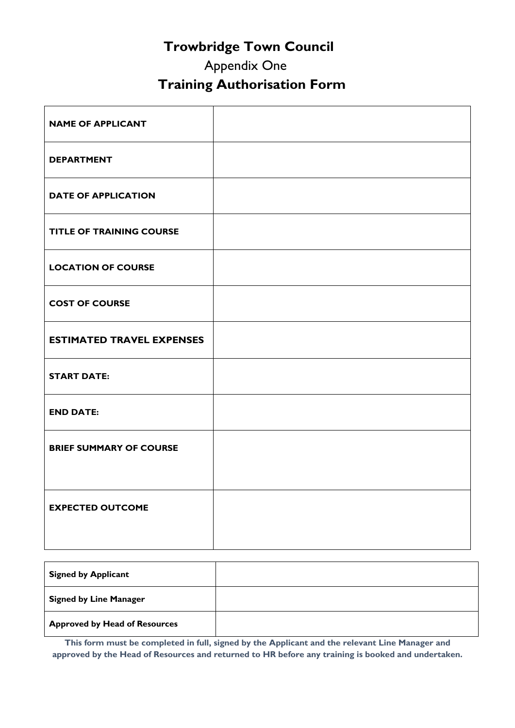## **Trowbridge Town Council**

# Appendix One  **Training Authorisation Form**

| <b>NAME OF APPLICANT</b>         |  |
|----------------------------------|--|
| <b>DEPARTMENT</b>                |  |
| <b>DATE OF APPLICATION</b>       |  |
| <b>TITLE OF TRAINING COURSE</b>  |  |
| <b>LOCATION OF COURSE</b>        |  |
| <b>COST OF COURSE</b>            |  |
| <b>ESTIMATED TRAVEL EXPENSES</b> |  |
| <b>START DATE:</b>               |  |
| <b>END DATE:</b>                 |  |
| <b>BRIEF SUMMARY OF COURSE</b>   |  |
|                                  |  |
| <b>EXPECTED OUTCOME</b>          |  |
|                                  |  |

| <b>Signed by Applicant</b>           |  |
|--------------------------------------|--|
| <b>Signed by Line Manager</b>        |  |
| <b>Approved by Head of Resources</b> |  |

**This form must be completed in full, signed by the Applicant and the relevant Line Manager and approved by the Head of Resources and returned to HR before any training is booked and undertaken.**